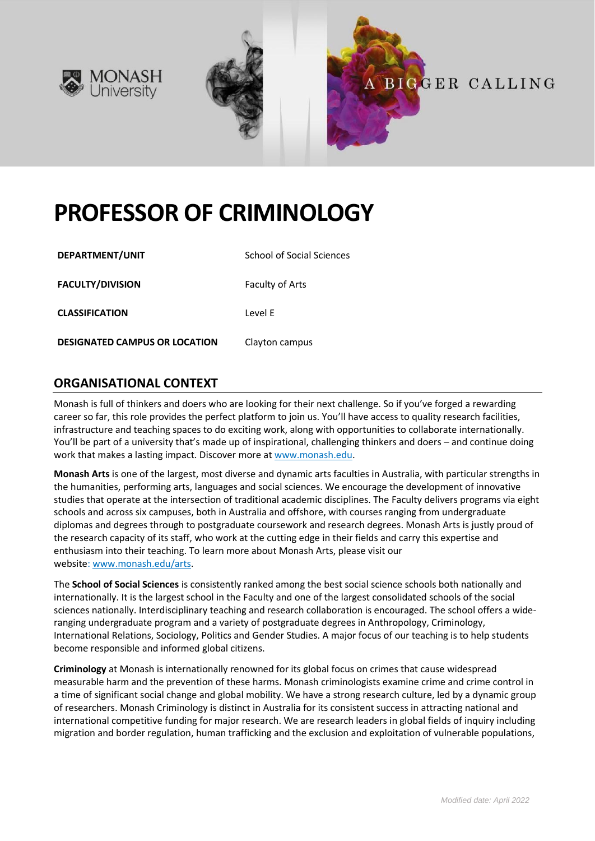



# **PROFESSOR OF CRIMINOLOGY**

| DEPARTMENT/UNIT                      | School of Social Sciences |
|--------------------------------------|---------------------------|
| <b>FACULTY/DIVISION</b>              | <b>Faculty of Arts</b>    |
| <b>CLASSIFICATION</b>                | Level F                   |
| <b>DESIGNATED CAMPUS OR LOCATION</b> | Clayton campus            |

### **ORGANISATIONAL CONTEXT**

Monash is full of thinkers and doers who are looking for their next challenge. So if you've forged a rewarding career so far, this role provides the perfect platform to join us. You'll have access to quality research facilities, infrastructure and teaching spaces to do exciting work, along with opportunities to collaborate internationally. You'll be part of a university that's made up of inspirational, challenging thinkers and doers – and continue doing work that makes a lasting impact. Discover more at [www.monash.edu.](http://www.monash.edu/)

**Monash Arts** is one of the largest, most diverse and dynamic arts faculties in Australia, with particular strengths in the humanities, performing arts, languages and social sciences. We encourage the development of innovative studies that operate at the intersection of traditional academic disciplines. The Faculty delivers programs via eight schools and across six campuses, both in Australia and offshore, with courses ranging from undergraduate diplomas and degrees through to postgraduate coursework and research degrees. Monash Arts is justly proud of the research capacity of its staff, who work at the cutting edge in their fields and carry this expertise and enthusiasm into their teaching. To learn more about Monash Arts, please visit our website: [www.monash.edu/arts.](https://www.monash.edu/arts)

The **School of Social Sciences** is consistently ranked among the best social science schools both nationally and internationally. It is the largest school in the Faculty and one of the largest consolidated schools of the social sciences nationally. Interdisciplinary teaching and research collaboration is encouraged. The school offers a wideranging undergraduate program and a variety of postgraduate degrees in Anthropology, Criminology, International Relations, Sociology, Politics and Gender Studies. A major focus of our teaching is to help students become responsible and informed global citizens.

**Criminology** at Monash is internationally renowned for its global focus on crimes that cause widespread measurable harm and the prevention of these harms. Monash criminologists examine crime and crime control in a time of significant social change and global mobility. We have a strong research culture, led by a dynamic group of researchers. Monash Criminology is distinct in Australia for its consistent success in attracting national and international competitive funding for major research. We are research leaders in global fields of inquiry including migration and border regulation, human trafficking and the exclusion and exploitation of vulnerable populations,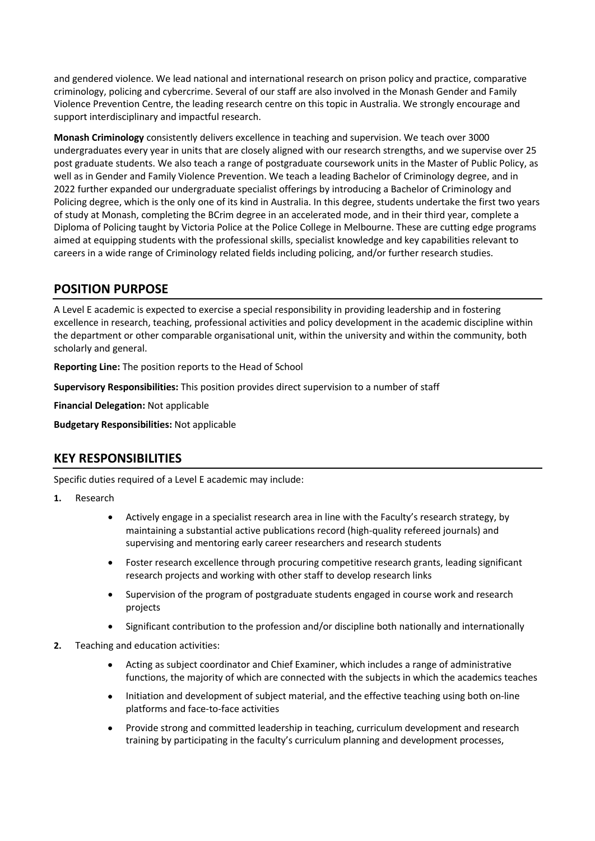and gendered violence. We lead national and international research on prison policy and practice, comparative criminology, policing and cybercrime. Several of our staff are also involved in the Monash Gender and Family Violence Prevention Centre, the leading research centre on this topic in Australia. We strongly encourage and support interdisciplinary and impactful research.

**Monash Criminology** consistently delivers excellence in teaching and supervision. We teach over 3000 undergraduates every year in units that are closely aligned with our research strengths, and we supervise over 25 post graduate students. We also teach a range of postgraduate coursework units in the Master of Public Policy, as well as in Gender and Family Violence Prevention. We teach a leading Bachelor of Criminology degree, and in 2022 further expanded our undergraduate specialist offerings by introducing a Bachelor of Criminology and Policing degree, which is the only one of its kind in Australia. In this degree, students undertake the first two years of study at Monash, completing the BCrim degree in an accelerated mode, and in their third year, complete a Diploma of Policing taught by Victoria Police at the Police College in Melbourne. These are cutting edge programs aimed at equipping students with the professional skills, specialist knowledge and key capabilities relevant to careers in a wide range of Criminology related fields including policing, and/or further research studies.

## **POSITION PURPOSE**

A Level E academic is expected to exercise a special responsibility in providing leadership and in fostering excellence in research, teaching, professional activities and policy development in the academic discipline within the department or other comparable organisational unit, within the university and within the community, both scholarly and general.

**Reporting Line:** The position reports to the Head of School

**Supervisory Responsibilities:** This position provides direct supervision to a number of staff

**Financial Delegation:** Not applicable

**Budgetary Responsibilities:** Not applicable

# **KEY RESPONSIBILITIES**

Specific duties required of a Level E academic may include:

#### **1.** Research

- Actively engage in a specialist research area in line with the Faculty's research strategy, by maintaining a substantial active publications record (high-quality refereed journals) and supervising and mentoring early career researchers and research students
- Foster research excellence through procuring competitive research grants, leading significant research projects and working with other staff to develop research links
- Supervision of the program of postgraduate students engaged in course work and research projects
- Significant contribution to the profession and/or discipline both nationally and internationally
- **2.** Teaching and education activities:
	- Acting as subject coordinator and Chief Examiner, which includes a range of administrative functions, the majority of which are connected with the subjects in which the academics teaches
	- Initiation and development of subject material, and the effective teaching using both on-line platforms and face-to-face activities
	- Provide strong and committed leadership in teaching, curriculum development and research training by participating in the faculty's curriculum planning and development processes,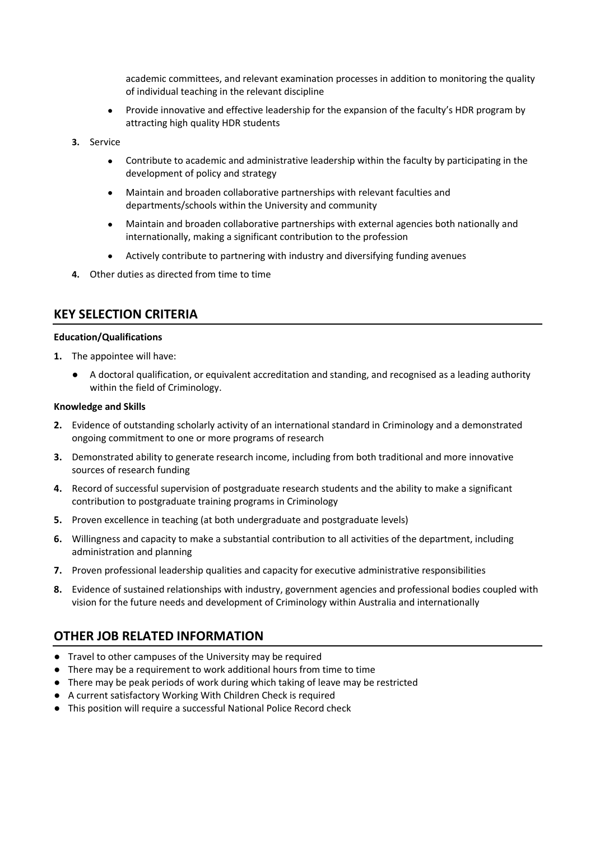academic committees, and relevant examination processes in addition to monitoring the quality of individual teaching in the relevant discipline

- Provide innovative and effective leadership for the expansion of the faculty's HDR program by attracting high quality HDR students
- **3.** Service
	- Contribute to academic and administrative leadership within the faculty by participating in the development of policy and strategy
	- Maintain and broaden collaborative partnerships with relevant faculties and departments/schools within the University and community
	- Maintain and broaden collaborative partnerships with external agencies both nationally and internationally, making a significant contribution to the profession
	- Actively contribute to partnering with industry and diversifying funding avenues
- **4.** Other duties as directed from time to time

### **KEY SELECTION CRITERIA**

#### **Education/Qualifications**

- **1.** The appointee will have:
	- A doctoral qualification, or equivalent accreditation and standing, and recognised as a leading authority within the field of Criminology.

#### **Knowledge and Skills**

- **2.** Evidence of outstanding scholarly activity of an international standard in Criminology and a demonstrated ongoing commitment to one or more programs of research
- **3.** Demonstrated ability to generate research income, including from both traditional and more innovative sources of research funding
- **4.** Record of successful supervision of postgraduate research students and the ability to make a significant contribution to postgraduate training programs in Criminology
- **5.** Proven excellence in teaching (at both undergraduate and postgraduate levels)
- **6.** Willingness and capacity to make a substantial contribution to all activities of the department, including administration and planning
- **7.** Proven professional leadership qualities and capacity for executive administrative responsibilities
- **8.** Evidence of sustained relationships with industry, government agencies and professional bodies coupled with vision for the future needs and development of Criminology within Australia and internationally

## **OTHER JOB RELATED INFORMATION**

- Travel to other campuses of the University may be required
- There may be a requirement to work additional hours from time to time
- There may be peak periods of work during which taking of leave may be restricted
- A current satisfactory Working With Children Check is required
- This position will require a successful National Police Record check